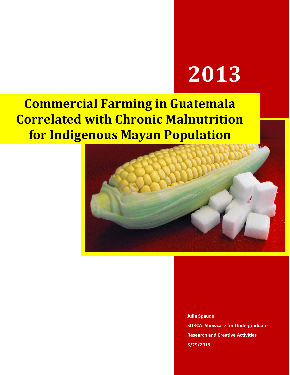# **2013**

## **Commercial Farming in Guatemala Correlated with Chronic Malnutrition for Indigenous Mayan Population**



**Julia Spaude SURCA: Showcase for Undergraduate Research and Creative Activities 3/29/2013**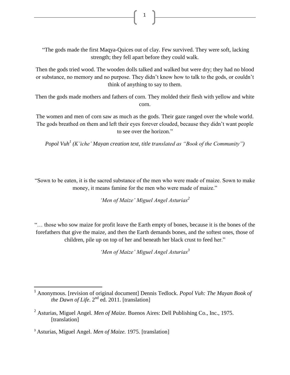"The gods made the first Maqya-Quices out of clay. Few survived. They were soft, lacking strength; they fell apart before they could walk.

1

Then the gods tried wood. The wooden dolls talked and walked but were dry; they had no blood or substance, no memory and no purpose. They didn't know how to talk to the gods, or couldn't think of anything to say to them.

Then the gods made mothers and fathers of corn. They molded their flesh with yellow and white corn.

The women and men of corn saw as much as the gods. Their gaze ranged over the whole world. The gods breathed on them and left their eyes forever clouded, because they didn't want people to see over the horizon."

*Popol Vuh<sup>1</sup> (K'iche' Mayan creation text, title translated as "Book of the Community")*

"Sown to be eaten, it is the sacred substance of the men who were made of maize. Sown to make money, it means famine for the men who were made of maize."

*'Men of Maize' Miguel Angel Asturias<sup>2</sup>*

"… those who sow maize for profit leave the Earth empty of bones, because it is the bones of the forefathers that give the maize, and then the Earth demands bones, and the softest ones, those of children, pile up on top of her and beneath her black crust to feed her."

*'Men of Maize' Miguel Angel Asturias<sup>3</sup>*

l

<sup>1</sup> Anonymous. [revision of original document] Dennis Tedlock. *Popol Vuh: The Mayan Book of the Dawn of Life*.  $2^{nd}$  ed. 2011. [translation]

<sup>2</sup> Asturias, Miguel Angel. *Men of Maize.* Buenos Aires: Dell Publishing Co., Inc., 1975. [translation]

<sup>3</sup> Asturias, Miguel Angel. *Men of Maize.* 1975. [translation]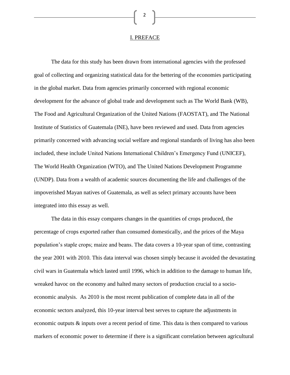#### I. PREFACE

The data for this study has been drawn from international agencies with the professed goal of collecting and organizing statistical data for the bettering of the economies participating in the global market. Data from agencies primarily concerned with regional economic development for the advance of global trade and development such as The World Bank (WB), The Food and Agricultural Organization of the United Nations (FAOSTAT), and The National Institute of Statistics of Guatemala (INE), have been reviewed and used. Data from agencies primarily concerned with advancing social welfare and regional standards of living has also been included, these include United Nations International Children's Emergency Fund (UNICEF), The World Health Organization (WTO), and The United Nations Development Programme (UNDP). Data from a wealth of academic sources documenting the life and challenges of the impoverished Mayan natives of Guatemala, as well as select primary accounts have been integrated into this essay as well.

The data in this essay compares changes in the quantities of crops produced, the percentage of crops exported rather than consumed domestically, and the prices of the Maya population's staple crops; maize and beans. The data covers a 10-year span of time, contrasting the year 2001 with 2010. This data interval was chosen simply because it avoided the devastating civil wars in Guatemala which lasted until 1996, which in addition to the damage to human life, wreaked havoc on the economy and halted many sectors of production crucial to a socioeconomic analysis. As 2010 is the most recent publication of complete data in all of the economic sectors analyzed, this 10-year interval best serves to capture the adjustments in economic outputs & inputs over a recent period of time. This data is then compared to various markers of economic power to determine if there is a significant correlation between agricultural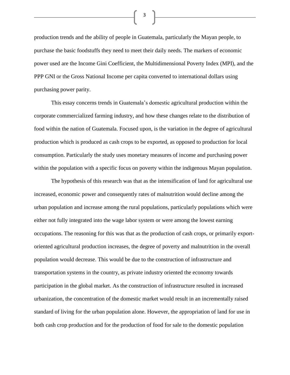production trends and the ability of people in Guatemala, particularly the Mayan people, to purchase the basic foodstuffs they need to meet their daily needs. The markers of economic power used are the Income Gini Coefficient, the Multidimensional Poverty Index (MPI), and the PPP GNI or the Gross National Income per capita converted to international dollars using purchasing power parity.

3

This essay concerns trends in Guatemala's domestic agricultural production within the corporate commercialized farming industry, and how these changes relate to the distribution of food within the nation of Guatemala. Focused upon, is the variation in the degree of agricultural production which is produced as cash crops to be exported, as opposed to production for local consumption. Particularly the study uses monetary measures of income and purchasing power within the population with a specific focus on poverty within the indigenous Mayan population.

The hypothesis of this research was that as the intensification of land for agricultural use increased, economic power and consequently rates of malnutrition would decline among the urban population and increase among the rural populations, particularly populations which were either not fully integrated into the wage labor system or were among the lowest earning occupations. The reasoning for this was that as the production of cash crops, or primarily exportoriented agricultural production increases, the degree of poverty and malnutrition in the overall population would decrease. This would be due to the construction of infrastructure and transportation systems in the country, as private industry oriented the economy towards participation in the global market. As the construction of infrastructure resulted in increased urbanization, the concentration of the domestic market would result in an incrementally raised standard of living for the urban population alone. However, the appropriation of land for use in both cash crop production and for the production of food for sale to the domestic population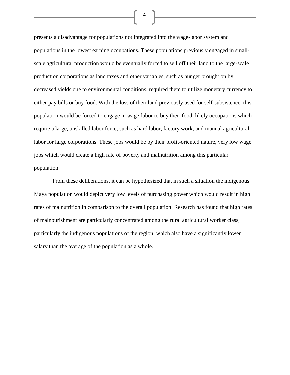presents a disadvantage for populations not integrated into the wage-labor system and populations in the lowest earning occupations. These populations previously engaged in smallscale agricultural production would be eventually forced to sell off their land to the large-scale production corporations as land taxes and other variables, such as hunger brought on by decreased yields due to environmental conditions, required them to utilize monetary currency to either pay bills or buy food. With the loss of their land previously used for self-subsistence, this population would be forced to engage in wage-labor to buy their food, likely occupations which require a large, unskilled labor force, such as hard labor, factory work, and manual agricultural labor for large corporations. These jobs would be by their profit-oriented nature, very low wage jobs which would create a high rate of poverty and malnutrition among this particular population.

4

From these deliberations, it can be hypothesized that in such a situation the indigenous Maya population would depict very low levels of purchasing power which would result in high rates of malnutrition in comparison to the overall population. Research has found that high rates of malnourishment are particularly concentrated among the rural agricultural worker class, particularly the indigenous populations of the region, which also have a significantly lower salary than the average of the population as a whole.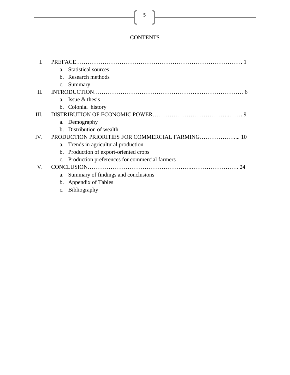#### **CONTENTS**

|         | $a_{\cdot}$    | <b>Statistical sources</b>                       |
|---------|----------------|--------------------------------------------------|
|         |                | b. Research methods                              |
|         |                | c. Summary                                       |
| $\Pi$ . |                |                                                  |
|         |                | a. Issue $&$ thesis                              |
|         |                | b. Colonial history                              |
| Ш.      |                |                                                  |
|         |                | a. Demography                                    |
|         |                | b. Distribution of wealth                        |
| IV.     |                |                                                  |
|         |                | a. Trends in agricultural production             |
|         |                | b. Production of export-oriented crops           |
|         |                | c. Production preferences for commercial farmers |
| V.      |                | <b>CONCLUSION</b><br>24                          |
|         |                | a. Summary of findings and conclusions           |
|         |                | b. Appendix of Tables                            |
|         | $\mathbf{C}$ . | <b>Bibliography</b>                              |

### $\begin{bmatrix} 5 \end{bmatrix}$

<u> 1980 - Johann Barbara, martxa a</u>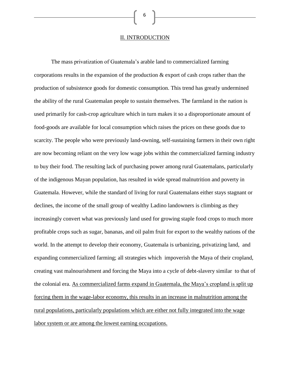II. INTRODUCTION

6

The mass privatization of Guatemala's arable land to commercialized farming corporations results in the expansion of the production & export of cash crops rather than the production of subsistence goods for domestic consumption. This trend has greatly undermined the ability of the rural Guatemalan people to sustain themselves. The farmland in the nation is used primarily for cash-crop agriculture which in turn makes it so a disproportionate amount of food-goods are available for local consumption which raises the prices on these goods due to scarcity. The people who were previously land-owning, self-sustaining farmers in their own right are now becoming reliant on the very low wage jobs within the commercialized farming industry to buy their food. The resulting lack of purchasing power among rural Guatemalans, particularly of the indigenous Mayan population, has resulted in wide spread malnutrition and poverty in Guatemala. However, while the standard of living for rural Guatemalans either stays stagnant or declines, the income of the small group of wealthy Ladino landowners is climbing as they increasingly convert what was previously land used for growing staple food crops to much more profitable crops such as sugar, bananas, and oil palm fruit for export to the wealthy nations of the world. In the attempt to develop their economy, Guatemala is urbanizing, privatizing land, and expanding commercialized farming; all strategies which impoverish the Maya of their cropland, creating vast malnourishment and forcing the Maya into a cycle of debt-slavery similar to that of the colonial era. As commercialized farms expand in Guatemala, the Maya's cropland is split up forcing them in the wage-labor economy, this results in an increase in malnutrition among the rural populations, particularly populations which are either not fully integrated into the wage labor system or are among the lowest earning occupations.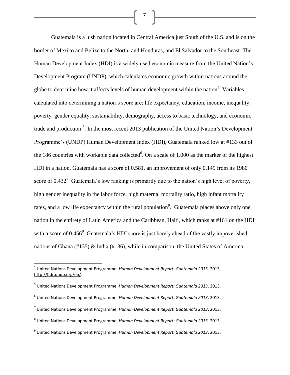Guatemala is a lush nation located in Central America just South of the U.S. and is on the border of Mexico and Belize to the North, and Honduras, and El Salvador to the Southeast. The Human Development Index (HDI) is a widely used economic measure from the United Nation's Development Program (UNDP), which calculates economic growth within nations around the globe to determine how it affects levels of human development within the nation<sup>4</sup>. Variables calculated into determining a nation's score are; life expectancy, education, income, inequality, poverty, gender equality, sustainability, demography, access to basic technology, and economic trade and production<sup>5</sup>. In the most recent 2013 publication of the United Nation's Development Programme's (UNDP) Human Development Index (HDI), Guatemala ranked low at #133 out of the 186 countries with workable data collected<sup>6</sup>. On a scale of 1.000 as the marker of the highest HDI in a nation, Guatemala has a score of 0.581, an improvement of only 0.149 from its 1980 score of  $0.432<sup>7</sup>$ . Guatemala's low ranking is primarily due to the nation's high level of poverty, high gender inequality in the labor force, high maternal mortality ratio, high infant mortality rates, and a low life expectancy within the rural population<sup>8</sup>. Guatemala places above only one nation in the entirety of Latin America and the Caribbean, Haiti, which ranks at #161 on the HDI with a score of  $0.456^9$ . Guatemala's HDI score is just barely ahead of the vastly impoverished nations of Ghana (#135) & India (#136), while in comparison, the United States of America

 $\overline{a}$ 

- 6 United Nations Development Programme. *Human Development Report: Guatemala 2013*. 2013.
- 7 United Nations Development Programme. *Human Development Report: Guatemala 2013*. 2013.

<sup>4</sup> United Nations Development Programme. *Human Development Report: Guatemala 2013*. 2013. [http://hdr.undp.org/en/.](http://hdr.undp.org/en/)

<sup>5</sup> United Nations Development Programme. *Human Development Report: Guatemala 2013*. 2013.

<sup>8</sup> United Nations Development Programme. *Human Development Report: Guatemala 2013*. 2013.

<sup>9</sup> United Nations Development Programme. *Human Development Report: Guatemala 2013*. 2013.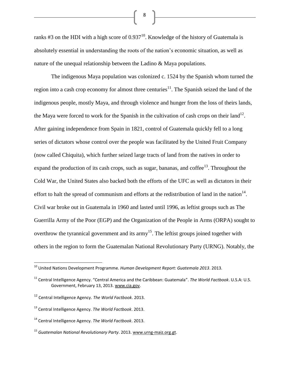ranks #3 on the HDI with a high score of  $0.937^{10}$ . Knowledge of the history of Guatemala is absolutely essential in understanding the roots of the nation's economic situation, as well as nature of the unequal relationship between the Ladino & Maya populations.

The indigenous Maya population was colonized c. 1524 by the Spanish whom turned the region into a cash crop economy for almost three centuries<sup>11</sup>. The Spanish seized the land of the indigenous people, mostly Maya, and through violence and hunger from the loss of theirs lands, the Maya were forced to work for the Spanish in the cultivation of cash crops on their  $land<sup>12</sup>$ . After gaining independence from Spain in 1821, control of Guatemala quickly fell to a long series of dictators whose control over the people was facilitated by the United Fruit Company (now called Chiquita), which further seized large tracts of land from the natives in order to expand the production of its cash crops, such as sugar, bananas, and coffee<sup>13</sup>. Throughout the Cold War, the United States also backed both the efforts of the UFC as well as dictators in their effort to halt the spread of communism and efforts at the redistribution of land in the nation<sup>14</sup>. Civil war broke out in Guatemala in 1960 and lasted until 1996, as leftist groups such as The Guerrilla Army of the Poor (EGP) and the Organization of the People in Arms (ORPA) sought to overthrow the tyrannical government and its  $army^{15}$ . The leftist groups joined together with others in the region to form the Guatemalan National Revolutionary Party (URNG). Notably, the

<sup>12</sup> Central Intelligence Agency. *The World Factbook*. 2013.

 $\overline{\phantom{a}}$ 

<sup>10</sup> United Nations Development Programme. *Human Development Report: Guatemala 2013*. 2013.

<sup>11</sup> Central Intelligence Agency. "Central America and the Caribbean: Guatemala". *The World Factbook*. U.S.A: U.S. Government, February 13, 2013[. www.cia.gov.](http://www.cia.gov/)

<sup>13</sup> Central Intelligence Agency. *The World Factbook*. 2013.

<sup>14</sup> Central Intelligence Agency. *The World Factbook*. 2013.

<sup>15</sup> *Guatemalan National Revolutionary Party*. 2013[. www.urng-maiz.org.gt.](http://www.urng-maiz.org.gt/)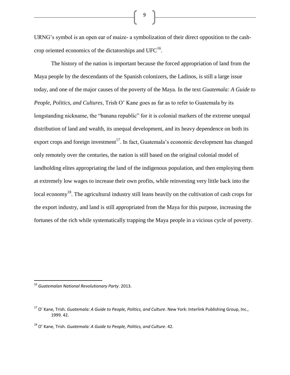URNG's symbol is an open ear of maize- a symbolization of their direct opposition to the cashcrop oriented economics of the dictatorships and UFC $^{16}$ .

The history of the nation is important because the forced appropriation of land from the Maya people by the descendants of the Spanish colonizers, the Ladinos, is still a large issue today, and one of the major causes of the poverty of the Maya. In the text *Guatemala: A Guide to People, Politics, and Cultures*, Trish O' Kane goes as far as to refer to Guatemala by its longstanding nickname, the "banana republic" for it is colonial markers of the extreme unequal distribution of land and wealth, its unequal development, and its heavy dependence on both its export crops and foreign investment<sup>17</sup>. In fact, Guatemala's economic development has changed only remotely over the centuries, the nation is still based on the original colonial model of landholding elites appropriating the land of the indigenous population, and then employing them at extremely low wages to increase their own profits, while reinvesting very little back into the local economy<sup>18</sup>. The agricultural industry still leans heavily on the cultivation of cash crops for the export industry, and land is still appropriated from the Maya for this purpose, increasing the fortunes of the rich while systematically trapping the Maya people in a vicious cycle of poverty.

 $\overline{\phantom{a}}$ 

<sup>16</sup> *Guatemalan National Revolutionary Party*. 2013.

<sup>17</sup> O' Kane, Trish. *Guatemala: A Guide to People, Politics, and Culture*. New York: Interlink Publishing Group, Inc., 1999. 42.

<sup>18</sup> O' Kane, Trish. *Guatemala: A Guide to People, Politics, and Culture*. 42.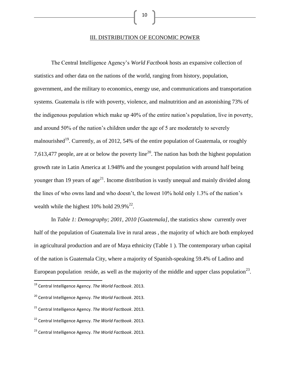#### III. DISTRIBUTION OF ECONOMIC POWER

The Central Intelligence Agency's *World Factbook* hosts an expansive collection of statistics and other data on the nations of the world, ranging from history, population, government, and the military to economics, energy use, and communications and transportation systems. Guatemala is rife with poverty, violence, and malnutrition and an astonishing 73% of the indigenous population which make up 40% of the entire nation's population, live in poverty, and around 50% of the nation's children under the age of 5 are moderately to severely malnourished<sup>19</sup>. Currently, as of 2012, 54% of the entire population of Guatemala, or roughly 7,613,477 people, are at or below the poverty line<sup>20</sup>. The nation has both the highest population growth rate in Latin America at 1.948% and the youngest population with around half being younger than 19 years of age<sup>21</sup>. Income distribution is vastly unequal and mainly divided along the lines of who owns land and who doesn't, the lowest 10% hold only 1.3% of the nation's wealth while the highest  $10\%$  hold  $29.9\%$ <sup>22</sup>.

In *Table 1: Demography; 2001, 2010 [Guatemala]*, the statistics show currently over half of the population of Guatemala live in rural areas , the majority of which are both employed in agricultural production and are of Maya ethnicity (Table 1 ). The contemporary urban capital of the nation is Guatemala City, where a majority of Spanish-speaking 59.4% of Ladino and European population reside, as well as the majority of the middle and upper class population<sup>23</sup>.

 $\overline{\phantom{a}}$ 

<sup>19</sup> Central Intelligence Agency. *The World Factbook*. 2013.

<sup>20</sup> Central Intelligence Agency. *The World Factbook*. 2013.

<sup>21</sup> Central Intelligence Agency. *The World Factbook*. 2013.

<sup>22</sup> Central Intelligence Agency. *The World Factbook*. 2013.

<sup>23</sup> Central Intelligence Agency. *The World Factbook*. 2013.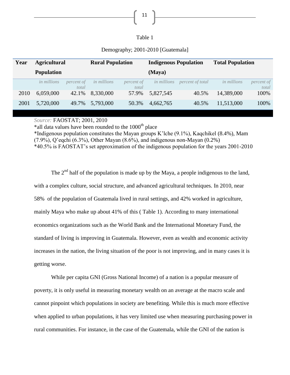| . . |  |
|-----|--|
|-----|--|

| Year | <b>Agricultural</b> |                     | <b>Rural Population</b> |                     | <b>Indigenous Population</b> |                  | <b>Total Population</b> |                     |
|------|---------------------|---------------------|-------------------------|---------------------|------------------------------|------------------|-------------------------|---------------------|
|      | <b>Population</b>   |                     |                         |                     | (Maya)                       |                  |                         |                     |
|      | <i>in millions</i>  | percent of<br>total | <i>in millions</i>      | percent of<br>total | <i>in millions</i>           | percent of total | <i>in millions</i>      | percent of<br>total |
| 2010 | 6,059,000           | 42.1%               | 8,330,000               | 57.9%               | 5,827,545                    | 40.5%            | 14,389,000              | 100%                |
| 2001 | 5,720,000           | 49.7%               | 5,793,000               | 50.3%               | 4,662,765                    | 40.5%            | 11,513,000              | 100%                |

#### Demography; 2001-2010 [Guatemala]

*Source:* FAOSTAT; 2001, 2010

\*all data values have been rounded to the  $1000<sup>th</sup>$  place

\*Indigenous population constitutes the Mayan groups K'lche (9.1%), Kaqchikel (8.4%), Mam (7.9%), Q'eqchi (6.3%), Other Mayan (8.6%), and indigenous non-Mayan (0.2%) \*40.5% is FAOSTAT's set approximation of the indigenous population for the years 2001-2010

The  $2<sup>nd</sup>$  half of the population is made up by the Maya, a people indigenous to the land, with a complex culture, social structure, and advanced agricultural techniques. In 2010, near 58% of the population of Guatemala lived in rural settings, and 42% worked in agriculture, mainly Maya who make up about 41% of this ( Table 1). According to many international economics organizations such as the World Bank and the International Monetary Fund, the standard of living is improving in Guatemala. However, even as wealth and economic activity increases in the nation, the living situation of the poor is not improving, and in many cases it is getting worse.

While per capita GNI (Gross National Income) of a nation is a popular measure of poverty, it is only useful in measuring monetary wealth on an average at the macro scale and cannot pinpoint which populations in society are benefiting. While this is much more effective when applied to urban populations, it has very limited use when measuring purchasing power in rural communities. For instance, in the case of the Guatemala, while the GNI of the nation is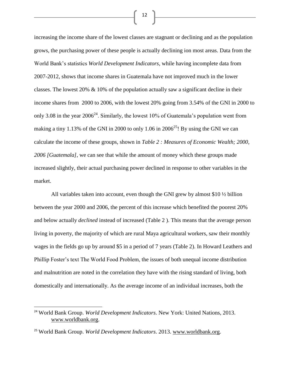increasing the income share of the lowest classes are stagnant or declining and as the population grows, the purchasing power of these people is actually declining ion most areas. Data from the World Bank's statistics *World Development Indicators*, while having incomplete data from 2007-2012, shows that income shares in Guatemala have not improved much in the lower classes. The lowest 20% & 10% of the population actually saw a significant decline in their income shares from 2000 to 2006, with the lowest 20% going from 3.54% of the GNI in 2000 to only 3.08 in the year  $2006^{24}$ . Similarly, the lowest 10% of Guatemala's population went from making a tiny 1.13% of the GNI in 2000 to only 1.06 in  $2006^{25}$ ! By using the GNI we can calculate the income of these groups, shown in *Table 2 : Measures of Economic Wealth; 2000, 2006 [Guatemala]*, we can see that while the amount of money which these groups made increased slightly, their actual purchasing power declined in response to other variables in the market.

All variables taken into account, even though the GNI grew by almost \$10 ½ billion between the year 2000 and 2006, the percent of this increase which benefited the poorest 20% and below actually *declined* instead of increased (Table 2 ). This means that the average person living in poverty, the majority of which are rural Maya agricultural workers, saw their monthly wages in the fields go up by around \$5 in a period of 7 years (Table 2). In Howard Leathers and Phillip Foster's text The World Food Problem, the issues of both unequal income distribution and malnutrition are noted in the correlation they have with the rising standard of living, both domestically and internationally. As the average income of an individual increases, both the

 $\overline{a}$ 

<sup>24</sup> World Bank Group. *World Development Indicators*. New York: United Nations, 2013. [www.worldbank.org.](http://www.worldbank.org/)

<sup>25</sup> World Bank Group. *World Development Indicators*. 2013. [www.worldbank.org.](http://www.worldbank.org/)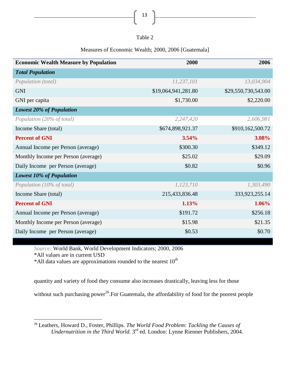| anie |  |
|------|--|
|------|--|

13

#### Measures of Economic Wealth; 2000, 2006 [Guatemala]

| <b>Economic Wealth Measure by Population</b> | 2000                | 2006                |  |
|----------------------------------------------|---------------------|---------------------|--|
| <b>Total Population</b>                      |                     |                     |  |
| Population (total)                           | 11,237,101          | 13,034,904          |  |
| <b>GNI</b>                                   | \$19,064,941,281.80 | \$29,550,730,543.00 |  |
| GNI per capita                               | \$1,730.00          | \$2,220.00          |  |
| <b>Lowest 20% of Population</b>              |                     |                     |  |
| Population (20% of total)                    | 2,247,420           | 2,606,981           |  |
| Income Share (total)                         | \$674,898,921.37    | \$910,162,500.72    |  |
| <b>Percent of GNI</b>                        | 3.54%               | 3.08%               |  |
| Annual Income per Person (average)           | \$300.30            | \$349.12            |  |
| Monthly Income per Person (average)          | \$25.02             | \$29.09             |  |
| Daily Income per Person (average)            | \$0.82              | \$0.96              |  |
| <b>Lowest 10% of Population</b>              |                     |                     |  |
| Population (10% of total)                    | 1,123,710           | 1,303,490           |  |
| Income Share (total)                         | 215,433,836.48      | 333,923,255.14      |  |
| <b>Percent of GNI</b>                        | 1.13%               | 1.06%               |  |
| Annual Income per Person (average)           | \$191.72            | \$256.18            |  |
| Monthly Income per Person (average)          | \$15.98             | \$21.35             |  |
| Daily Income per Person (average)            | \$0.53              | \$0.70              |  |

*Source:* World Bank, World Development Indicators; 2000, 2006

\*All values are in current USD

 $\overline{a}$ 

 $*$ All data values are approximations rounded to the nearest  $10<sup>th</sup>$ 

quantity and variety of food they consume also increases drastically, leaving less for those

without such purchasing power<sup>26</sup>. For Guatemala, the affordability of food for the poorest people

<sup>26</sup> Leathers, Howard D., Foster, Phillips. *The World Food Problem: Tackling the Causes of*  Undernutrition in the Third World. 3<sup>rd</sup> ed. London: Lynne Rienner Publishers, 2004.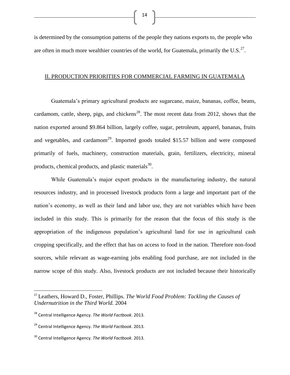is determined by the consumption patterns of the people they nations exports to, the people who are often in much more wealthier countries of the world, for Guatemala, primarily the U.S. $^{27}$ .

#### II. PRODUCTION PRIORITIES FOR COMMERCIAL FARMING IN GUATEMALA

Guatemala's primary agricultural products are sugarcane, maize, bananas, coffee, beans, cardamom, cattle, sheep, pigs, and chickens<sup>28</sup>. The most recent data from 2012, shows that the nation exported around \$9.864 billion, largely coffee, sugar, petroleum, apparel, bananas, fruits and vegetables, and cardamom<sup>29</sup>. Imported goods totaled \$15.57 billion and were composed primarily of fuels, machinery, construction materials, grain, fertilizers, electricity, mineral products, chemical products, and plastic materials<sup>30</sup>.

While Guatemala's major export products in the manufacturing industry, the natural resources industry, and in processed livestock products form a large and important part of the nation's economy, as well as their land and labor use, they are not variables which have been included in this study. This is primarily for the reason that the focus of this study is the appropriation of the indigenous population's agricultural land for use in agricultural cash cropping specifically, and the effect that has on access to food in the nation. Therefore non-food sources, while relevant as wage-earning jobs enabling food purchase, are not included in the narrow scope of this study. Also, livestock products are not included because their historically

 $\overline{a}$ 

<sup>27</sup> Leathers, Howard D., Foster, Phillips. *The World Food Problem: Tackling the Causes of Undernutrition in the Third World.* 2004

<sup>28</sup> Central Intelligence Agency. *The World Factbook*. 2013.

<sup>29</sup> Central Intelligence Agency. *The World Factbook*. 2013.

<sup>30</sup> Central Intelligence Agency. *The World Factbook*. 2013.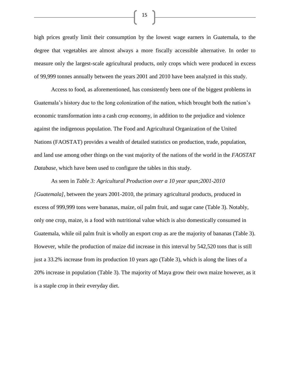high prices greatly limit their consumption by the lowest wage earners in Guatemala, to the degree that vegetables are almost always a more fiscally accessible alternative. In order to measure only the largest-scale agricultural products, only crops which were produced in excess of 99,999 tonnes annually between the years 2001 and 2010 have been analyzed in this study.

Access to food, as aforementioned, has consistently been one of the biggest problems in Guatemala's history due to the long colonization of the nation, which brought both the nation's economic transformation into a cash crop economy, in addition to the prejudice and violence against the indigenous population. The Food and Agricultural Organization of the United Nations (FAOSTAT) provides a wealth of detailed statistics on production, trade, population, and land use among other things on the vast majority of the nations of the world in the *FAOSTAT Database*, which have been used to configure the tables in this study.

As seen in *Table 3: Agricultural Production over a 10 year span;2001-2010 [Guatemala]*, between the years 2001-2010, the primary agricultural products, produced in excess of 999,999 tons were bananas, maize, oil palm fruit, and sugar cane (Table 3). Notably, only one crop, maize, is a food with nutritional value which is also domestically consumed in Guatemala, while oil palm fruit is wholly an export crop as are the majority of bananas (Table 3). However, while the production of maize did increase in this interval by 542,520 tons that is still just a 33.2% increase from its production 10 years ago (Table 3), which is along the lines of a 20% increase in population (Table 3). The majority of Maya grow their own maize however, as it is a staple crop in their everyday diet.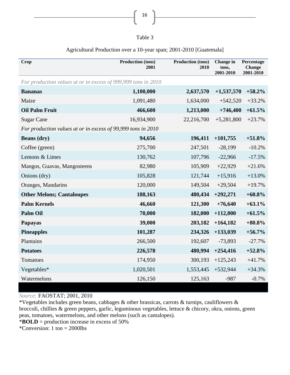#### Agricultural Production over a 10-year span; 2001-2010 [Guatemala]

| <b>Crop</b>                                                   | <b>Production (tons)</b><br>2001 | Production (tons)<br>2010 | <b>Change</b> in<br>tons,<br>2001-2010 | Percentage<br>Change<br>2001-2010 |
|---------------------------------------------------------------|----------------------------------|---------------------------|----------------------------------------|-----------------------------------|
| For production values at or in excess of 999,999 tons in 2010 |                                  |                           |                                        |                                   |
| <b>Bananas</b>                                                | 1,100,000                        | 2,637,570                 | $+1,537,570$                           | $+58.2%$                          |
| Maize                                                         | 1,091,480                        | 1,634,000                 | $+542,520$                             | $+33.2%$                          |
| <b>Oil Palm Fruit</b>                                         | 466,600                          | 1,213,000                 | $+746,400$                             | $+61.5%$                          |
| <b>Sugar Cane</b>                                             | 16,934,900                       | 22,216,700                | $+5,281,800$                           | $+23.7%$                          |
| For production values at or in excess of 99,999 tons in 2010  |                                  |                           |                                        |                                   |
| <b>Beans</b> (dry)                                            | 94,656                           | 196,411                   | $+101,755$                             | $+51.8%$                          |
| Coffee (green)                                                | 275,700                          | 247,501                   | $-28,199$                              | $-10.2%$                          |
| Lemons & Limes                                                | 130,762                          | 107,796                   | $-22,966$                              | $-17.5%$                          |
| Mangos, Guavas, Mangosteens                                   | 82,980                           | 105,909                   | $+22,929$                              | $+21.6%$                          |
| Onions (dry)                                                  | 105,828                          | 121,744                   | $+15,916$                              | $+13.0%$                          |
| Oranges, Mandarins                                            | 120,000                          | 149,504                   | $+29,504$                              | $+19.7%$                          |
| <b>Other Melons; Cantaloupes</b>                              | 188,163                          | 480,434                   | $+292,271$                             | $+60.8\%$                         |
| <b>Palm Kernels</b>                                           | 46,660                           | 121,300                   | $+76,640$                              | $+63.1\%$                         |
| <b>Palm Oil</b>                                               | 70,000                           | 182,000                   | $+112,000$                             | $+61.5%$                          |
| Papayas                                                       | 39,000                           | 203,182                   | $+164,182$                             | $+80.8\%$                         |
| <b>Pineapples</b>                                             | 101,287                          | 234,326                   | $+133,039$                             | $+56.7\%$                         |
| Plantains                                                     | 266,500                          | 192,607                   | $-73,893$                              | $-27.7%$                          |
| <b>Potatoes</b>                                               | 226,578                          | 480,994                   | $+254,416$                             | $+52.8%$                          |
| Tomatoes                                                      | 174,950                          | 300,193                   | $+125,243$                             | $+41.7%$                          |
| Vegetables*                                                   | 1,020,501                        | 1,553,445                 | $+532,944$                             | $+34.3%$                          |
| Watermelons                                                   | 126,150                          | 125,163                   | $-987$                                 | $-0.7%$                           |

*Source:* FAOSTAT; 2001, 2010

\*Vegetables includes green beans, cabbages & other brassicas, carrots & turnips, cauliflowers & broccoli, chillies & green peppers, garlic, leguminous vegetables, lettuce & chicory, okra, onions, green peas, tomatoes, watermelons, and other melons (such as cantalopes).

\***BOLD** = production increase in excess of 50%

\*Conversion: 1 ton  $= 2000$ lbs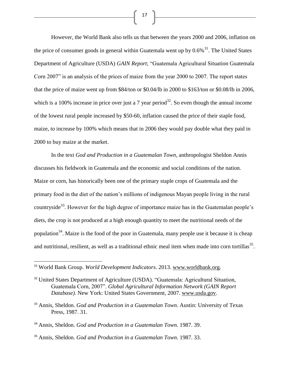However, the World Bank also tells us that between the years 2000 and 2006, inflation on the price of consumer goods in general within Guatemala went up by  $0.6\%$ <sup>31</sup>. The United States Department of Agriculture (USDA) *GAIN Report*; "Guatemala Agricultural Situation Guatemala Corn 2007" is an analysis of the prices of maize from the year 2000 to 2007. The report states that the price of maize went up from \$84/ton or \$0.04/lb in 2000 to \$163/ton or \$0.08/lb in 2006, which is a 100% increase in price over just a 7 year period<sup>32</sup>. So even though the annual income of the lowest rural people increased by \$50-60, inflation caused the price of their staple food, maize, to increase by 100% which means that in 2006 they would pay double what they paid in 2000 to buy maize at the market.

In the text *God and Production in a Guatemalan Town*, anthropologist Sheldon Annis discusses his fieldwork in Guatemala and the economic and social conditions of the nation. Maize or corn, has historically been one of the primary staple crops of Guatemala and the primary food in the diet of the nation's millions of indigenous Mayan people living in the rural countryside<sup>33</sup>. However for the high degree of importance maize has in the Guatemalan people's diets, the crop is not produced at a high enough quantity to meet the nutritional needs of the population<sup>34</sup>. Maize is the food of the poor in Guatemala, many people use it because it is cheap and nutritional, resilient, as well as a traditional ethnic meal item when made into corn tortillas  $35$ .

 $\overline{\phantom{a}}$ 

<sup>31</sup> World Bank Group. *World Development Indicators*. 2013. [www.worldbank.org.](http://www.worldbank.org/)

<sup>&</sup>lt;sup>32</sup> United States Department of Agriculture (USDA). "Guatemala: Agricultural Situation, Guatemala Corn, 2007". *Global Agricultural Information Network (GAIN Report Database)*. New York: United States Government, 2007. [www.usda.gov.](http://www.usda.gov/)

<sup>&</sup>lt;sup>33</sup> Annis, Sheldon. *God and Production in a Guatemalan Town*. Austin: University of Texas Press, 1987. 31.

<sup>34</sup> Annis, Sheldon. *God and Production in a Guatemalan Town*. 1987. 39.

<sup>35</sup> Annis, Sheldon. *God and Production in a Guatemalan Town*. 1987. 33.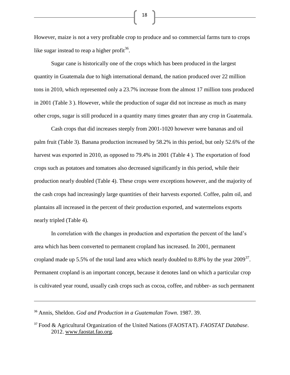However, maize is not a very profitable crop to produce and so commercial farms turn to crops like sugar instead to reap a higher profit<sup>36</sup>.

Sugar cane is historically one of the crops which has been produced in the largest quantity in Guatemala due to high international demand, the nation produced over 22 million tons in 2010, which represented only a 23.7% increase from the almost 17 million tons produced in 2001 (Table 3 ). However, while the production of sugar did not increase as much as many other crops, sugar is still produced in a quantity many times greater than any crop in Guatemala.

Cash crops that did increases steeply from 2001-1020 however were bananas and oil palm fruit (Table 3). Banana production increased by 58.2% in this period, but only 52.6% of the harvest was exported in 2010, as opposed to 79.4% in 2001 (Table 4). The exportation of food crops such as potatoes and tomatoes also decreased significantly in this period, while their production nearly doubled (Table 4). These crops were exceptions however, and the majority of the cash crops had increasingly large quantities of their harvests exported. Coffee, palm oil, and plantains all increased in the percent of their production exported, and watermelons exports nearly tripled (Table 4).

In correlation with the changes in production and exportation the percent of the land's area which has been converted to permanent cropland has increased. In 2001, permanent cropland made up 5.5% of the total land area which nearly doubled to 8.8% by the year  $2009^{37}$ . Permanent cropland is an important concept, because it denotes land on which a particular crop is cultivated year round, usually cash crops such as cocoa, coffee, and rubber- as such permanent

l

<sup>36</sup> Annis, Sheldon. *God and Production in a Guatemalan Town*. 1987. 39.

<sup>37</sup> Food & Agricultural Organization of the United Nations (FAOSTAT). *FAOSTAT Database*. 2012. [www.faostat.fao.org.](http://www.faostat.fao.org/)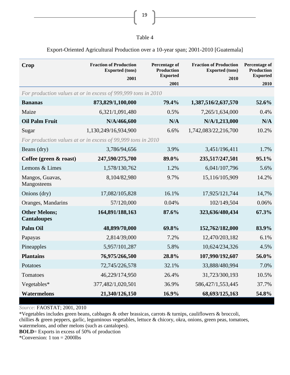| I | controllers.<br>I<br>-<br>× |  |
|---|-----------------------------|--|
|   |                             |  |

| nг<br>⊿ 1 |  |
|-----------|--|
|-----------|--|

#### Export-Oriented Agricultural Production over a 10-year span; 2001-2010 [Guatemala]

| Crop                                                          | <b>Fraction of Production</b><br><b>Exported</b> (tons)<br>2001 | Percentage of<br><b>Production</b><br><b>Exported</b> | <b>Fraction of Production</b><br><b>Exported</b> (tons)<br>2010 | Percentage of<br><b>Production</b><br><b>Exported</b> |
|---------------------------------------------------------------|-----------------------------------------------------------------|-------------------------------------------------------|-----------------------------------------------------------------|-------------------------------------------------------|
|                                                               |                                                                 | 2001                                                  |                                                                 | 2010                                                  |
| For production values at or in excess of 999,999 tons in 2010 |                                                                 |                                                       |                                                                 |                                                       |
| <b>Bananas</b>                                                | 873,829/1,100,000                                               | 79.4%                                                 | 1,387,516/2,637,570                                             | 52.6%                                                 |
| Maize                                                         | 6,321/1,091,480                                                 | 0.5%                                                  | 7,265/1,634,000                                                 | 0.4%                                                  |
| <b>Oil Palm Fruit</b>                                         | N/A/466,600                                                     | N/A                                                   | N/A/1,213,000                                                   | N/A                                                   |
| Sugar                                                         | 1,130,249/16,934,900                                            | 6.6%                                                  | 1,742,083/22,216,700                                            | 10.2%                                                 |
| For production values at or in excess of 99,999 tons in 2010  |                                                                 |                                                       |                                                                 |                                                       |
| Beans (dry)                                                   | 3,786/94,656                                                    | 3.9%                                                  | 3,451/196,411                                                   | 1.7%                                                  |
| Coffee (green & roast)                                        | 247,590/275,700                                                 | 89.0%                                                 | 235,517/247,501                                                 | 95.1%                                                 |
| Lemons & Limes                                                | 1,578/130,762                                                   | 1.2%                                                  | 6,041/107,796                                                   | 5.6%                                                  |
| Mangos, Guavas,<br>Mangosteens                                | 8,104/82,980                                                    | 9.7%                                                  | 15,116/105,909                                                  | 14.2%                                                 |
| Onions (dry)                                                  | 17,082/105,828                                                  | 16.1%                                                 | 17,925/121,744                                                  | 14,7%                                                 |
| Oranges, Mandarins                                            | 57/120,000                                                      | 0.04%                                                 | 102/149,504                                                     | 0.06%                                                 |
| <b>Other Melons;</b><br><b>Cantaloupes</b>                    | 164,891/188,163                                                 | 87.6%                                                 | 323,636/480,434                                                 | 67.3%                                                 |
| <b>Palm Oil</b>                                               | 48,899/70,000                                                   | 69.8%                                                 | 152,762/182,000                                                 | 83.9%                                                 |
| Papayas                                                       | 2,814/39,000                                                    | 7.2%                                                  | 12,470/203,182                                                  | 6.1%                                                  |
| Pineapples                                                    | 5,957/101,287                                                   | 5.8%                                                  | 10,624/234,326                                                  | 4.5%                                                  |
| <b>Plantains</b>                                              | 76,975/266,500                                                  | 28.8%                                                 | 107,990/192,607                                                 | 56.0%                                                 |
| Potatoes                                                      | 72,745/226,578                                                  | 32.1%                                                 | 33,888/480,994                                                  | 7.0%                                                  |
| Tomatoes                                                      | 46,229/174,950                                                  | 26.4%                                                 | 31,723/300,193                                                  | 10.5%                                                 |
| Vegetables*                                                   | 377,482/1,020,501                                               | 36.9%                                                 | 586,427/1,553,445                                               | 37.7%                                                 |
| <b>Watermelons</b>                                            | 21,340/126,150                                                  | 16.9%                                                 | 68,693/125,163                                                  | 54.8%                                                 |

*Source:* FAOSTAT; 2001, 2010

\*Vegetables includes green beans, cabbages & other brassicas, carrots & turnips, cauliflowers & broccoli, chillies & green peppers, garlic, leguminous vegetables, lettuce & chicory, okra, onions, green peas, tomatoes, watermelons, and other melons (such as cantalopes).

**BOLD**= Exports in excess of 50% of production

\*Conversion: 1 ton = 2000lbs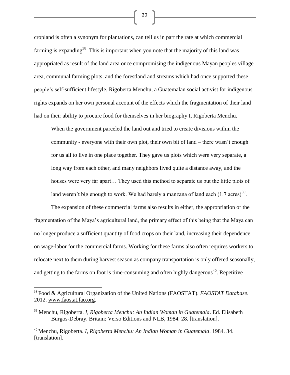cropland is often a synonym for plantations, can tell us in part the rate at which commercial farming is expanding<sup>38</sup>. This is important when you note that the majority of this land was appropriated as result of the land area once compromising the indigenous Mayan peoples village area, communal farming plots, and the forestland and streams which had once supported these people's self-sufficient lifestyle. Rigoberta Menchu, a Guatemalan social activist for indigenous rights expands on her own personal account of the effects which the fragmentation of their land had on their ability to procure food for themselves in her biography I, Rigoberta Menchu.

When the government parceled the land out and tried to create divisions within the community - everyone with their own plot, their own bit of land – there wasn't enough for us all to live in one place together. They gave us plots which were very separate, a long way from each other, and many neighbors lived quite a distance away, and the houses were very far apart… They used this method to separate us but the little plots of land weren't big enough to work. We had barely a manzana of land each  $(1.7 \text{ acres})^{39}$ .

The expansion of these commercial farms also results in either, the appropriation or the fragmentation of the Maya's agricultural land, the primary effect of this being that the Maya can no longer produce a sufficient quantity of food crops on their land, increasing their dependence on wage-labor for the commercial farms. Working for these farms also often requires workers to relocate next to them during harvest season as company transportation is only offered seasonally, and getting to the farms on foot is time-consuming and often highly dangerous<sup>40</sup>. Repetitive

 $\overline{\phantom{a}}$ 

<sup>38</sup> Food & Agricultural Organization of the United Nations (FAOSTAT). *FAOSTAT Database*. 2012. [www.faostat.fao.org.](http://www.faostat.fao.org/)

<sup>39</sup> Menchu, Rigoberta. *I, Rigoberta Menchu: An Indian Woman in Guatemala*. Ed. Elisabeth Burgos-Debray. Britain: Verso Editions and NLB, 1984. 28. [translation].

<sup>40</sup> Menchu, Rigoberta. *I, Rigoberta Menchu: An Indian Woman in Guatemala*. 1984. 34. [translation].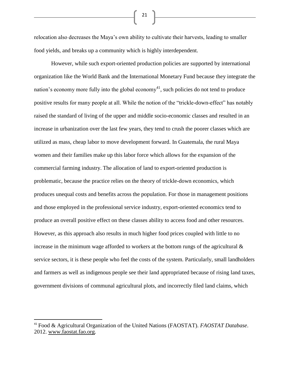relocation also decreases the Maya's own ability to cultivate their harvests, leading to smaller food yields, and breaks up a community which is highly interdependent.

However, while such export-oriented production policies are supported by international organization like the World Bank and the International Monetary Fund because they integrate the nation's economy more fully into the global economy<sup>41</sup>, such policies do not tend to produce positive results for many people at all. While the notion of the "trickle-down-effect" has notably raised the standard of living of the upper and middle socio-economic classes and resulted in an increase in urbanization over the last few years, they tend to crush the poorer classes which are utilized as mass, cheap labor to move development forward. In Guatemala, the rural Maya women and their families make up this labor force which allows for the expansion of the commercial farming industry. The allocation of land to export-oriented production is problematic, because the practice relies on the theory of trickle-down economics, which produces unequal costs and benefits across the population. For those in management positions and those employed in the professional service industry, export-oriented economics tend to produce an overall positive effect on these classes ability to access food and other resources. However, as this approach also results in much higher food prices coupled with little to no increase in the minimum wage afforded to workers at the bottom rungs of the agricultural  $\&$ service sectors, it is these people who feel the costs of the system. Particularly, small landholders and farmers as well as indigenous people see their land appropriated because of rising land taxes, government divisions of communal agricultural plots, and incorrectly filed land claims, which

 $\overline{a}$ 

<sup>41</sup> Food & Agricultural Organization of the United Nations (FAOSTAT). *FAOSTAT Database*. 2012. [www.faostat.fao.org.](http://www.faostat.fao.org/)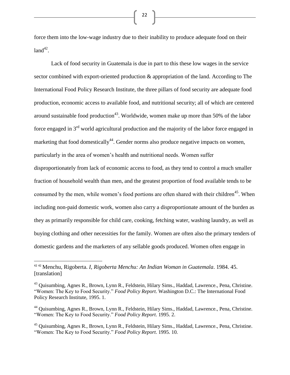force them into the low-wage industry due to their inability to produce adequate food on their  $land<sup>42</sup>$ .

Lack of food security in Guatemala is due in part to this these low wages in the service sector combined with export-oriented production & appropriation of the land. According to The International Food Policy Research Institute, the three pillars of food security are adequate food production, economic access to available food, and nutritional security; all of which are centered around sustainable food production<sup>43</sup>. Worldwide, women make up more than 50% of the labor force engaged in  $3<sup>rd</sup>$  world agricultural production and the majority of the labor force engaged in marketing that food domestically<sup>44</sup>. Gender norms also produce negative impacts on women, particularly in the area of women's health and nutritional needs. Women suffer disproportionately from lack of economic access to food, as they tend to control a much smaller fraction of household wealth than men, and the greatest proportion of food available tends to be

consumed by the men, while women's food portions are often shared with their children<sup>45</sup>. When including non-paid domestic work, women also carry a disproportionate amount of the burden as they as primarily responsible for child care, cooking, fetching water, washing laundry, as well as buying clothing and other necessities for the family. Women are often also the primary tenders of domestic gardens and the marketers of any sellable goods produced. Women often engage in

 $\overline{\phantom{a}}$ 

<sup>42</sup> <sup>42</sup> Menchu, Rigoberta. *I, Rigoberta Menchu: An Indian Woman in Guatemala*. 1984. 45. [translation]

<sup>&</sup>lt;sup>43</sup> Quisumbing, Agnes R., Brown, Lynn R., Feldstein, Hilary Sims., Haddad, Lawrence., Pena, Christine. "Women: The Key to Food Security." *Food Policy Report*. Washington D.C.: The International Food Policy Research Institute, 1995. 1.

<sup>44</sup> Quisumbing, Agnes R., Brown, Lynn R., Feldstein, Hilary Sims., Haddad, Lawrence., Pena, Christine. "Women: The Key to Food Security." *Food Policy Report*. 1995. 2.

<sup>45</sup> Quisumbing, Agnes R., Brown, Lynn R., Feldstein, Hilary Sims., Haddad, Lawrence., Pena, Christine. "Women: The Key to Food Security." *Food Policy Report*. 1995. 10.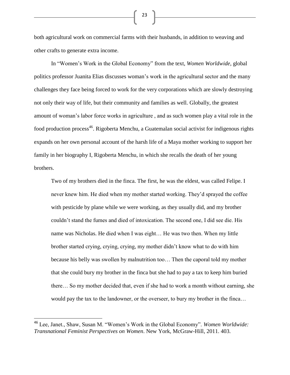both agricultural work on commercial farms with their husbands, in addition to weaving and other crafts to generate extra income.

In "Women's Work in the Global Economy" from the text, *Women Worldwide*, global politics professor Juanita Elias discusses woman's work in the agricultural sector and the many challenges they face being forced to work for the very corporations which are slowly destroying not only their way of life, but their community and families as well. Globally, the greatest amount of woman's labor force works in agriculture , and as such women play a vital role in the food production process<sup>46</sup>. Rigoberta Menchu, a Guatemalan social activist for indigenous rights expands on her own personal account of the harsh life of a Maya mother working to support her family in her biography I, Rigoberta Menchu, in which she recalls the death of her young brothers.

Two of my brothers died in the finca. The first, he was the eldest, was called Felipe. I never knew him. He died when my mother started working. They'd sprayed the coffee with pesticide by plane while we were working, as they usually did, and my brother couldn't stand the fumes and died of intoxication. The second one, I did see die. His name was Nicholas. He died when I was eight… He was two then. When my little brother started crying, crying, crying, my mother didn't know what to do with him because his belly was swollen by malnutrition too… Then the caporal told my mother that she could bury my brother in the finca but she had to pay a tax to keep him buried there… So my mother decided that, even if she had to work a month without earning, she would pay the tax to the landowner, or the overseer, to bury my brother in the finca…

 $\overline{\phantom{a}}$ 

<sup>46</sup> Lee, Janet., Shaw, Susan M. "Women's Work in the Global Economy". *Women Worldwide: Transnational Feminist Perspectives on Women*. New York, McGraw-Hill, 2011. 403.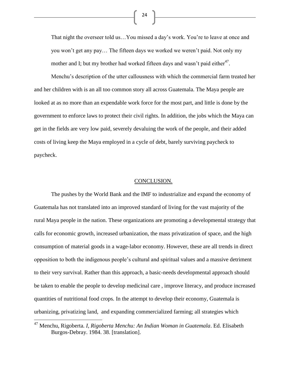That night the overseer told us…You missed a day's work. You're to leave at once and you won't get any pay… The fifteen days we worked we weren't paid. Not only my mother and I; but my brother had worked fifteen days and wasn't paid either<sup>47</sup>.

Menchu's description of the utter callousness with which the commercial farm treated her and her children with is an all too common story all across Guatemala. The Maya people are looked at as no more than an expendable work force for the most part, and little is done by the government to enforce laws to protect their civil rights. In addition, the jobs which the Maya can get in the fields are very low paid, severely devaluing the work of the people, and their added costs of living keep the Maya employed in a cycle of debt, barely surviving paycheck to paycheck.

#### CONCLUSION.

The pushes by the World Bank and the IMF to industrialize and expand the economy of Guatemala has not translated into an improved standard of living for the vast majority of the rural Maya people in the nation. These organizations are promoting a developmental strategy that calls for economic growth, increased urbanization, the mass privatization of space, and the high consumption of material goods in a wage-labor economy. However, these are all trends in direct opposition to both the indigenous people's cultural and spiritual values and a massive detriment to their very survival. Rather than this approach, a basic-needs developmental approach should be taken to enable the people to develop medicinal care , improve literacy, and produce increased quantities of nutritional food crops. In the attempt to develop their economy, Guatemala is urbanizing, privatizing land, and expanding commercialized farming; all strategies which

 $\overline{\phantom{a}}$ 

<sup>47</sup> Menchu, Rigoberta. *I, Rigoberta Menchu: An Indian Woman in Guatemala*. Ed. Elisabeth Burgos-Debray. 1984. 38. [translation].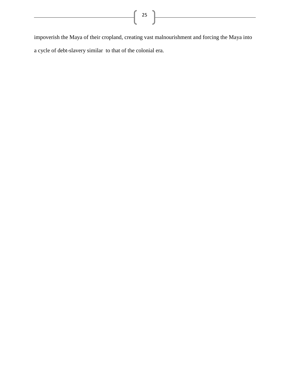impoverish the Maya of their cropland, creating vast malnourishment and forcing the Maya into a cycle of debt-slavery similar to that of the colonial era.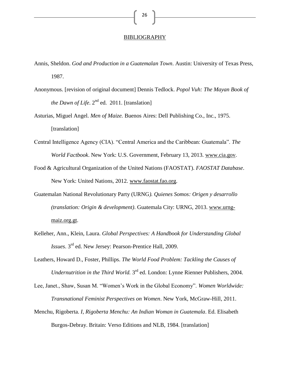#### BIBLIOGRAPHY

- Annis, Sheldon. *God and Production in a Guatemalan Town*. Austin: University of Texas Press, 1987.
- Anonymous. [revision of original document] Dennis Tedlock. *Popol Vuh: The Mayan Book of the Dawn of Life*.  $2^{nd}$  ed. 2011. [translation]
- Asturias, Miguel Angel. *Men of Maize.* Buenos Aires: Dell Publishing Co., Inc., 1975. [translation]
- Central Intelligence Agency (CIA). "Central America and the Caribbean: Guatemala". *The World Factbook*. New York: U.S. Government, February 13, 2013. [www.cia.gov.](http://www.cia.gov/)
- Food & Agricultural Organization of the United Nations (FAOSTAT). *FAOSTAT Database*. New York: United Nations, 2012. [www.faostat.fao.org.](http://www.faostat.fao.org/)
- Guatemalan National Revolutionary Party (URNG*). Quienes Somos: Origen y desarrollo (translation: Origin & development)*. Guatemala City: URNG, 2013. [www.urng](http://www.urng-maiz.org.gt/)[maiz.org.gt.](http://www.urng-maiz.org.gt/)
- Kelleher, Ann., Klein, Laura. *Global Perspectives: A Handbook for Understanding Global Issues*. 3rd ed. New Jersey: Pearson-Prentice Hall, 2009.
- Leathers, Howard D., Foster, Phillips. *The World Food Problem: Tackling the Causes of*  Undernutrition in the Third World. 3<sup>rd</sup> ed. London: Lynne Rienner Publishers, 2004.
- Lee, Janet., Shaw, Susan M. "Women's Work in the Global Economy". *Women Worldwide: Transnational Feminist Perspectives on Women*. New York, McGraw-Hill, 2011.
- Menchu, Rigoberta. *I, Rigoberta Menchu: An Indian Woman in Guatemala*. Ed. Elisabeth Burgos-Debray. Britain: Verso Editions and NLB, 1984. [translation]